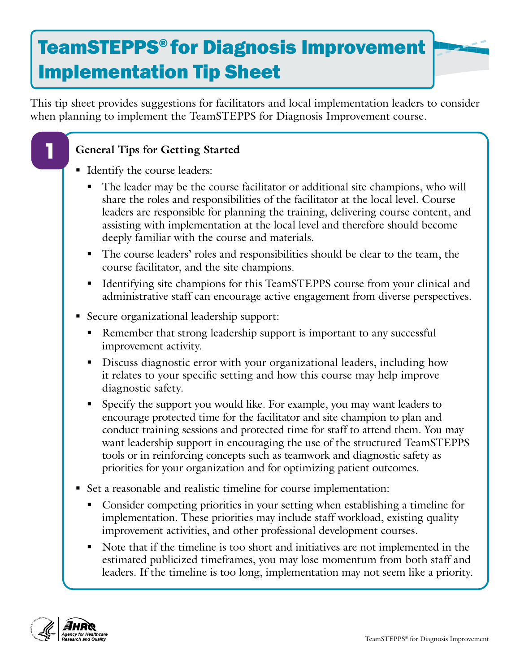## TeamSTEPPS® for Diagnosis Improvement Implementation Tip Sheet

This tip sheet provides suggestions for facilitators and local implementation leaders to consider when planning to implement the TeamSTEPPS for Diagnosis Improvement course.

## **General Tips for Getting Started**

Identify the course leaders:

**1**

- The leader may be the course facilitator or additional site champions, who will share the roles and responsibilities of the facilitator at the local level. Course leaders are responsible for planning the training, delivering course content, and assisting with implementation at the local level and therefore should become deeply familiar with the course and materials.
- The course leaders' roles and responsibilities should be clear to the team, the course facilitator, and the site champions.
- Identifying site champions for this TeamSTEPPS course from your clinical and administrative staff can encourage active engagement from diverse perspectives.
- Secure organizational leadership support:
	- Remember that strong leadership support is important to any successful improvement activity.
	- Discuss diagnostic error with your organizational leaders, including how it relates to your specific setting and how this course may help improve diagnostic safety.
	- Specify the support you would like. For example, you may want leaders to encourage protected time for the facilitator and site champion to plan and conduct training sessions and protected time for staff to attend them. You may want leadership support in encouraging the use of the structured TeamSTEPPS tools or in reinforcing concepts such as teamwork and diagnostic safety as priorities for your organization and for optimizing patient outcomes.
- Set a reasonable and realistic timeline for course implementation:
	- Consider competing priorities in your setting when establishing a timeline for implementation. These priorities may include staff workload, existing quality improvement activities, and other professional development courses.
	- Note that if the timeline is too short and initiatives are not implemented in the estimated publicized timeframes, you may lose momentum from both staff and leaders. If the timeline is too long, implementation may not seem like a priority.

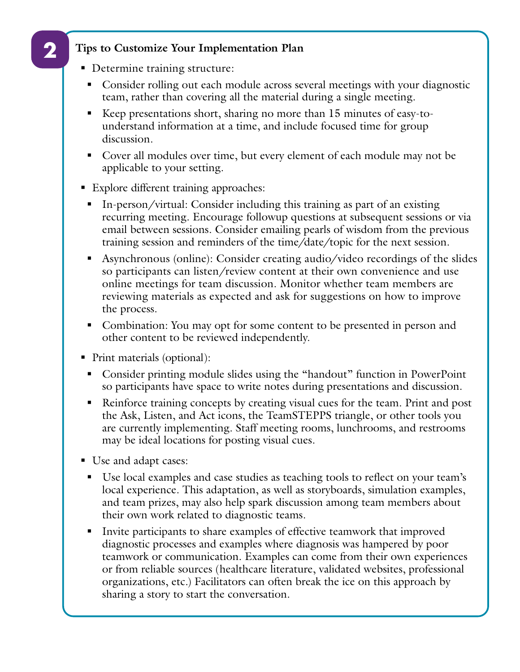## **Tips to Customize Your Implementation Plan**

- Determine training structure:
	- Consider rolling out each module across several meetings with your diagnostic team, rather than covering all the material during a single meeting.
	- Keep presentations short, sharing no more than 15 minutes of easy-tounderstand information at a time, and include focused time for group discussion.
	- Cover all modules over time, but every element of each module may not be applicable to your setting.
- **Explore different training approaches:** 
	- In-person/virtual: Consider including this training as part of an existing recurring meeting. Encourage followup questions at subsequent sessions or via email between sessions. Consider emailing pearls of wisdom from the previous training session and reminders of the time/date/topic for the next session.
	- Asynchronous (online): Consider creating audio/video recordings of the slides so participants can listen/review content at their own convenience and use online meetings for team discussion. Monitor whether team members are reviewing materials as expected and ask for suggestions on how to improve the process.
	- Combination: You may opt for some content to be presented in person and other content to be reviewed independently.
- Print materials (optional):
	- Consider printing module slides using the "handout" function in PowerPoint so participants have space to write notes during presentations and discussion.
	- Reinforce training concepts by creating visual cues for the team. Print and post the Ask, Listen, and Act icons, the TeamSTEPPS triangle, or other tools you are currently implementing. Staff meeting rooms, lunchrooms, and restrooms may be ideal locations for posting visual cues.
- Use and adapt cases:
	- Use local examples and case studies as teaching tools to reflect on your team's local experience. This adaptation, as well as storyboards, simulation examples, and team prizes, may also help spark discussion among team members about their own work related to diagnostic teams.
	- Invite participants to share examples of effective teamwork that improved diagnostic processes and examples where diagnosis was hampered by poor teamwork or communication. Examples can come from their own experiences or from reliable sources (healthcare literature, validated websites, professional organizations, etc.) Facilitators can often break the ice on this approach by sharing a story to start the conversation.